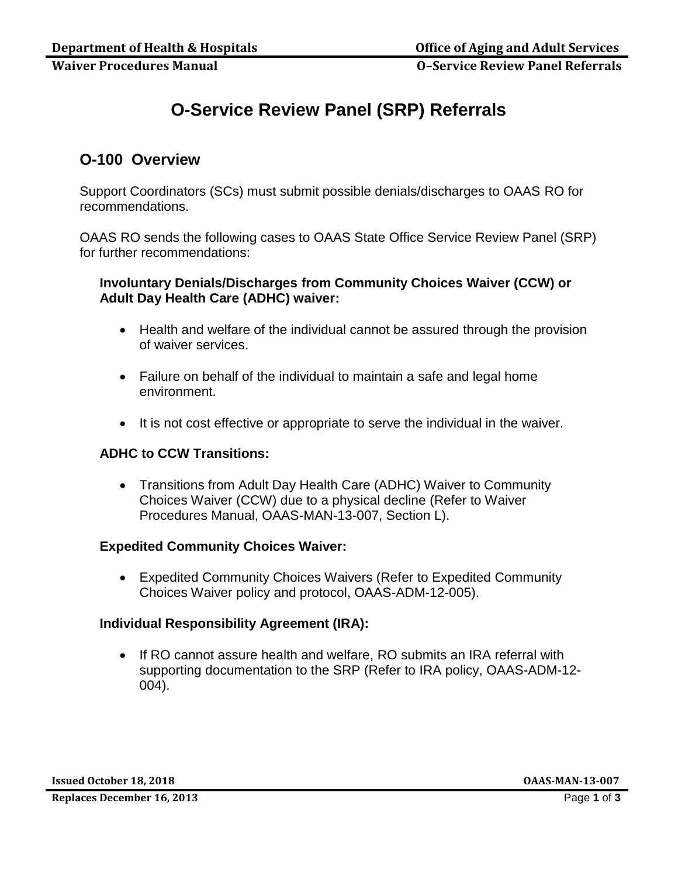**Waiver Procedures Manual O–Service Review Panel Referrals**

# **O-Service Review Panel (SRP) Referrals**

# **O-100 Overview**

Support Coordinators (SCs) must submit possible denials/discharges to OAAS RO for recommendations.

OAAS RO sends the following cases to OAAS State Office Service Review Panel (SRP) for further recommendations:

# **Involuntary Denials/Discharges from Community Choices Waiver (CCW) or Adult Day Health Care (ADHC) waiver:**

- Health and welfare of the individual cannot be assured through the provision of waiver services.
- Failure on behalf of the individual to maintain a safe and legal home environment.
- It is not cost effective or appropriate to serve the individual in the waiver.

# **ADHC to CCW Transitions:**

 Transitions from Adult Day Health Care (ADHC) Waiver to Community Choices Waiver (CCW) due to a physical decline (Refer to Waiver Procedures Manual, OAAS-MAN-13-007, Section L).

### **Expedited Community Choices Waiver:**

 Expedited Community Choices Waivers (Refer to Expedited Community Choices Waiver policy and protocol, OAAS-ADM-12-005).

### **Individual Responsibility Agreement (IRA):**

• If RO cannot assure health and welfare, RO submits an IRA referral with supporting documentation to the SRP (Refer to IRA policy, OAAS-ADM-12- 004).

**Issued October 18, 2018 OAAS-MAN-13-007**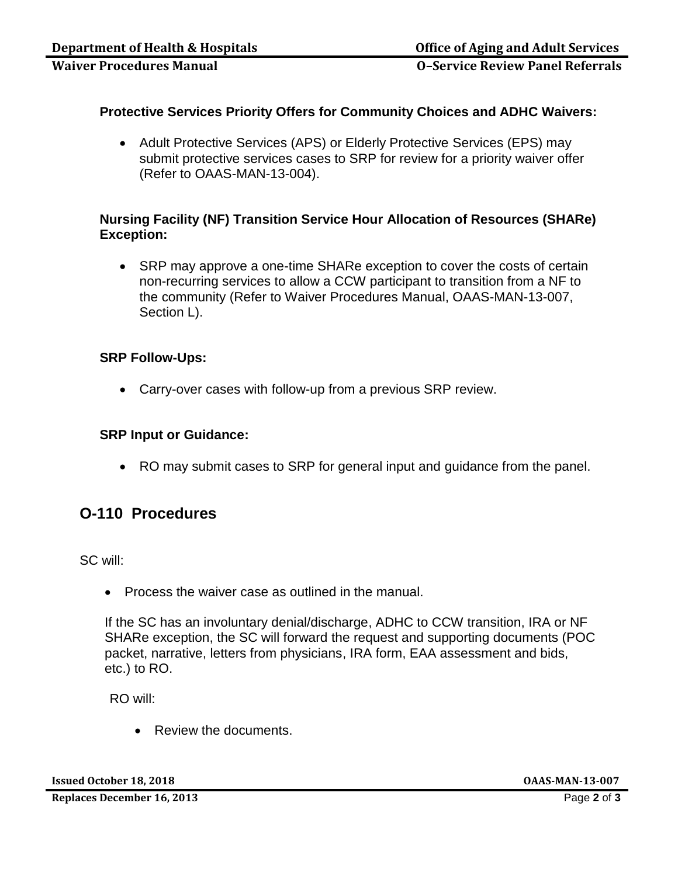**Waiver Procedures Manual O–Service Review Panel Referrals**

# **Protective Services Priority Offers for Community Choices and ADHC Waivers:**

• Adult Protective Services (APS) or Elderly Protective Services (EPS) may submit protective services cases to SRP for review for a priority waiver offer (Refer to OAAS-MAN-13-004).

# **Nursing Facility (NF) Transition Service Hour Allocation of Resources (SHARe) Exception:**

• SRP may approve a one-time SHARe exception to cover the costs of certain non-recurring services to allow a CCW participant to transition from a NF to the community (Refer to Waiver Procedures Manual, OAAS-MAN-13-007, Section L).

### **SRP Follow-Ups:**

Carry-over cases with follow-up from a previous SRP review.

#### **SRP Input or Guidance:**

RO may submit cases to SRP for general input and guidance from the panel.

# **O-110 Procedures**

SC will:

• Process the waiver case as outlined in the manual.

If the SC has an involuntary denial/discharge, ADHC to CCW transition, IRA or NF SHARe exception, the SC will forward the request and supporting documents (POC packet, narrative, letters from physicians, IRA form, EAA assessment and bids, etc.) to RO.

RO will:

• Review the documents.